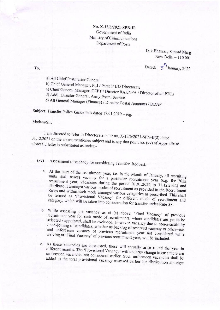## No. X-12/6/2021-SPN-II Government of India Ministry of Communications Department of Posts

Dak Bhawan, Sansad Marg New Delhi - 110 001

Dated:  $5^{\frac{R}{3}}$ January, 2022

To,

a) All Chief Postmaster General

b) Chief General Manager, PLI / Parcel / BD Directorate

c) Chief General Manager, CEPT / Director RAKNPA / Director of all PTCs

d) Addl. Director General, Army Postal Service

e) All General Manager (Finance) / Director Postal Accounts / DDAP

Subject: Transfer Policy Guidelines dated 17.01.2019 - reg.

## Madam/Sir.

I am directed to refer to Directorate letter no. X-12/6/2021-SPN-II(2) dated 31.12.2021 on the above mentioned subject and to say that point no. (xv) of Appendix to aforesaid letter is substituted as under:-

Assessment of vacancy for considering Transfer Request:- $\left( xy\right)$ 

- a. At the start of the recruitment year, i.e. in the Month of January, all recruiting units shall assess vacancy for a particular recruitment year (e.g. for 2022 recruitment year, vacancies during the period 01.01.2022 to 31.12.2022) and distribute it amongst various modes of recruitment as provided in the Recruitment Rules and within each mode amongst various categories as prescribed. This shall be termed as 'Provisional Vacancy' for different mode of recruitment and category, which will be taken into consideration for transfer under Rule-38.
- b. While assessing the vacancy as at (a) above, 'Final Vacancy' of previous recruitment year for each mode of recruitments, where candidates are yet to be selected / appointed, shall be excluded. However, vacancy due to non-availability / non-joining of candidates, whether as backlog of reserved vacancy or otherwise, and unforeseen vacancy of previous recruitment year not considered while arriving at 'Final Vacancy' of previous recruitment year, will be included.
- c. As these vacancies are forecasted, these will actually arise round the year in different months. The 'Provisional Vacancy' will undergo change in case there are unforeseen vacancies not considered earlier. Such unforeseen vacancies shall be added to the total provisional vacancy assessed earlier for distribution amongst